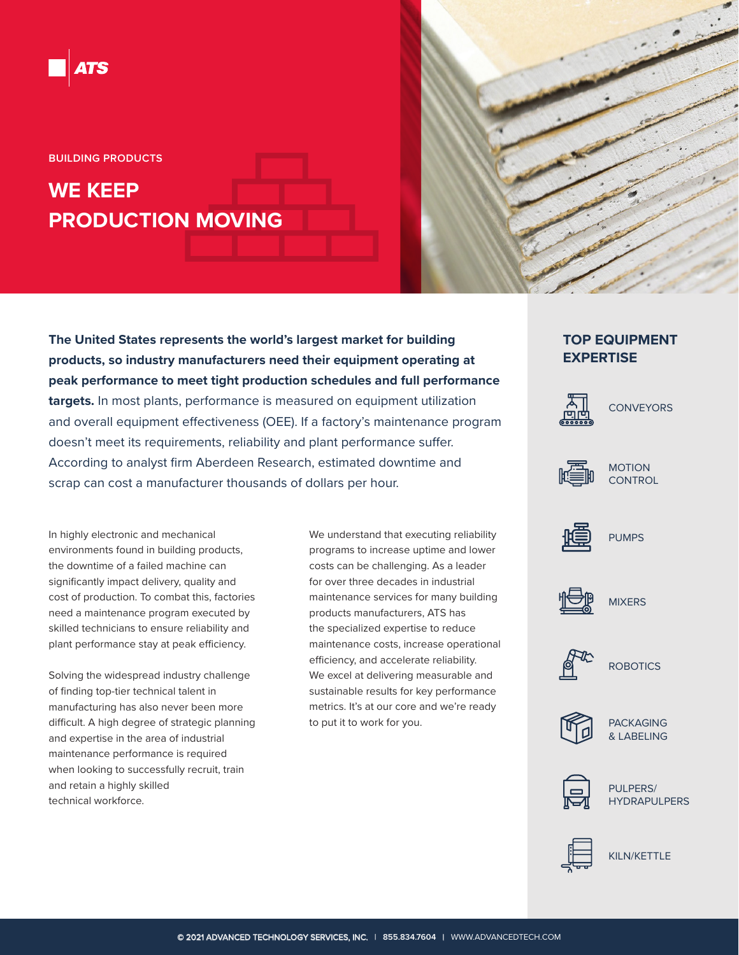

**BUILDING PRODUCTS**

# **WE KEEP PRODUCTION MOVING**

**The United States represents the world's largest market for building products, so industry manufacturers need their equipment operating at peak performance to meet tight production schedules and full performance targets.** In most plants, performance is measured on equipment utilization and overall equipment effectiveness (OEE). If a factory's maintenance program doesn't meet its requirements, reliability and plant performance suffer. According to analyst firm Aberdeen Research, estimated downtime and scrap can cost a manufacturer thousands of dollars per hour.

In highly electronic and mechanical environments found in building products, the downtime of a failed machine can significantly impact delivery, quality and cost of production. To combat this, factories need a maintenance program executed by skilled technicians to ensure reliability and plant performance stay at peak efficiency.

Solving the widespread industry challenge of finding top-tier technical talent in manufacturing has also never been more difficult. A high degree of strategic planning and expertise in the area of industrial maintenance performance is required when looking to successfully recruit, train and retain a highly skilled technical workforce.

We understand that executing reliability programs to increase uptime and lower costs can be challenging. As a leader for over three decades in industrial maintenance services for many building products manufacturers, ATS has the specialized expertise to reduce maintenance costs, increase operational efficiency, and accelerate reliability. We excel at delivering measurable and sustainable results for key performance metrics. It's at our core and we're ready to put it to work for you.

## **TOP EQUIPMENT EXPERTISE**



**CONVEYORS** 



MOTION **CONTROL** 



PUMPS



MIXERS



**ROBOTICS** 



PACKAGING & LABELING



PULPERS/ HYDRAPULPERS



KILN/KETTLE